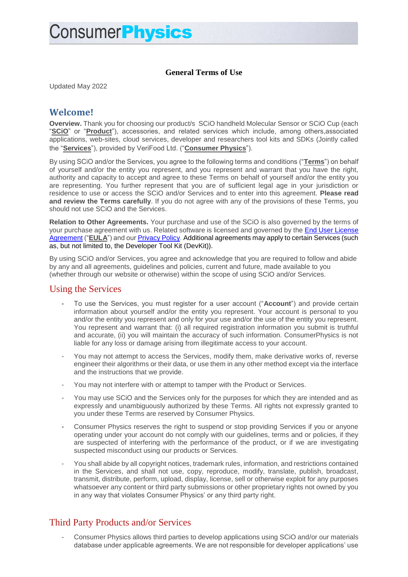#### **General Terms of Use**

Updated May 2022

### **Welcome!**

**Overview.** Thank you for choosing our product/s SCiO handheld Molecular Sensor or SCiO Cup (each "**SCiO**" or "**Product**"), accessories, and related services which include, among others,associated applications, web-sites, cloud services, developer and researchers tool kits and SDKs (Jointly called the "**Services**"), provided by VeriFood Ltd. ("**Consumer Physics**").

By using SCiO and/or the Services, you agree to the following terms and conditions ("**Terms**") on behalf of yourself and/or the entity you represent, and you represent and warrant that you have the right, authority and capacity to accept and agree to these Terms on behalf of yourself and/or the entity you are representing. You further represent that you are of sufficient legal age in your jurisdiction or residence to use or access the SCiO and/or Services and to enter into this agreement. **Please read and review the Terms carefully**. If you do not agree with any of the provisions of these Terms, you should not use SCiO and the Services.

**Relation to Other Agreements.** Your purchase and use of the SCiO is also governed by the terms of your purchase agreement with us. Related software is licensed and governed by the [End User License](https://www.consumerphysics.com/documents/legal/EULA.pdf)  [Agreement](https://www.consumerphysics.com/documents/legal/EULA.pdf) ("EULA") and our [Privacy Policy.](https://www.consumerphysics.com/documents/legal/PrivacyPolicy.pdf) Additional agreements may apply to certain Services (such as, but not limited to, the Developer Tool Kit (DevKit)).

By using SCiO and/or Services, you agree and acknowledge that you are required to follow and abide by any and all agreements, guidelines and policies, current and future, made available to you (whether through our website or otherwise) within the scope of using SCiO and/or Services.

#### Using the Services

- To use the Services, you must register for a user account ("**Account**") and provide certain information about yourself and/or the entity you represent. Your account is personal to you and/or the entity you represent and only for your use and/or the use of the entity you represent. You represent and warrant that: (i) all required registration information you submit is truthful and accurate, (ii) you will maintain the accuracy of such information. ConsumerPhysics is not liable for any loss or damage arising from illegitimate access to your account.
- You mav not attempt to access the Services, modify them, make derivative works of, reverse engineer their algorithms or their data, or use them in any other method except via the interface and the instructions that we provide.
- You may not interfere with or attempt to tamper with the Product or Services.
- You may use SCiO and the Services only for the purposes for which they are intended and as expressly and unambiguously authorized by these Terms. All rights not expressly granted to you under these Terms are reserved by Consumer Physics.
- Consumer Physics reserves the right to suspend or stop providing Services if you or anyone operating under your account do not comply with our guidelines, terms and or policies, if they are suspected of interfering with the performance of the product, or if we are investigating suspected misconduct using our products or Services.
- You shall abide by all copyright notices, trademark rules, information, and restrictions contained in the Services, and shall not use, copy, reproduce, modify, translate, publish, broadcast, transmit, distribute, perform, upload, display, license, sell or otherwise exploit for any purposes whatsoever any content or third party submissions or other proprietary rights not owned by you in any way that violates Consumer Physics' or any third party right.

## Third Party Products and/or Services

- Consumer Physics allows third parties to develop applications using SCiO and/or our materials database under applicable agreements. We are not responsible for developer applications' use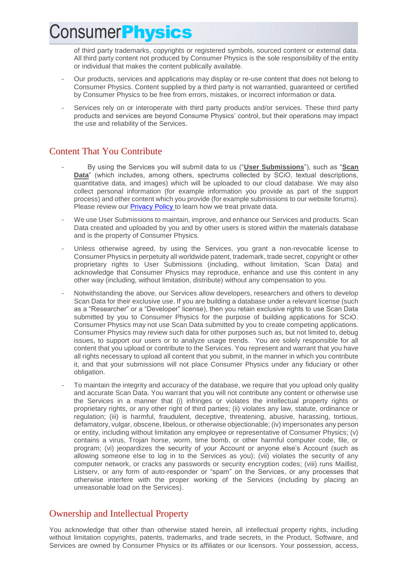of third party trademarks, copyrights or registered symbols, sourced content or external data. All third party content not produced by Consumer Physics is the sole responsibility of the entity or individual that makes the content publically available.

- Our products, services and applications may display or re-use content that does not belong to Consumer Physics. Content supplied by a third party is not warrantied, guaranteed or certified by Consumer Physics to be free from errors, mistakes, or incorrect information or data.
- Services rely on or interoperate with third party products and/or services. These third party products and services are beyond Consume Physics' control, but their operations may impact the use and reliability of the Services.

### Content That You Contribute

- By using the Services you will submit data to us ("**User Submissions**"), such as "**Scan Data**" (which includes, among others, spectrums collected by SCiO, textual descriptions, quantitative data, and images) which will be uploaded to our cloud database. We may also collect personal information (for example information you provide as part of the support process) and other content which you provide (for example submissions to our website forums). Please review our [Privacy Policy](https://www.consumerphysics.com/documents/legal/PrivacyPolicy.pdf) to learn how we treat private data.
- We use User Submissions to maintain, improve, and enhance our Services and products. Scan Data created and uploaded by you and by other users is stored within the materials database and is the property of Consumer Physics.
- Unless otherwise agreed, by using the Services, you grant a non-revocable license to Consumer Physics in perpetuity all worldwide patent, trademark, trade secret, copyright or other proprietary rights to User Submissions (including, without limitation, Scan Data) and acknowledge that Consumer Physics may reproduce, enhance and use this content in any other way (including, without limitation, distribute) without any compensation to you.
- Notwithstanding the above, our Services allow developers, researchers and others to develop Scan Data for their exclusive use. If you are building a database under a relevant license (such as a "Researcher" or a "Developer" license), then you retain exclusive rights to use Scan Data submitted by you to Consumer Physics for the purpose of building applications for SCiO. Consumer Physics may not use Scan Data submitted by you to create competing applications. Consumer Physics may review such data for other purposes such as, but not limited to, debug issues, to support our users or to analyze usage trends. You are solely responsible for all content that you upload or contribute to the Services. You represent and warrant that you have all rights necessary to upload all content that you submit, in the manner in which you contribute it, and that your submissions will not place Consumer Physics under any fiduciary or other obligation.
- To maintain the integrity and accuracy of the database, we require that you upload only quality and accurate Scan Data. You warrant that you will not contribute any content or otherwise use the Services in a manner that (i) infringes or violates the intellectual property rights or proprietary rights, or any other right of third parties; (ii) violates any law, statute, ordinance or regulation; (iii) is harmful, fraudulent, deceptive, threatening, abusive, harassing, tortious, defamatory, vulgar, obscene, libelous, or otherwise objectionable; (iv) impersonates any person or entity, including without limitation any employee or representative of Consumer Physics; (v) contains a virus, Trojan horse, worm, time bomb, or other harmful computer code, file, or program; (vi) jeopardizes the security of your Account or anyone else's Account (such as allowing someone else to log in to the Services as you); (vii) violates the security of any computer network, or cracks any passwords or security encryption codes; (viii) runs Maillist, Listserv, or any form of auto-responder or "spam" on the Services, or any processes that otherwise interfere with the proper working of the Services (including by placing an unreasonable load on the Services).

## Ownership and Intellectual Property

You acknowledge that other than otherwise stated herein, all intellectual property rights, including without limitation copyrights, patents, trademarks, and trade secrets, in the Product, Software, and Services are owned by Consumer Physics or its affiliates or our licensors. Your possession, access,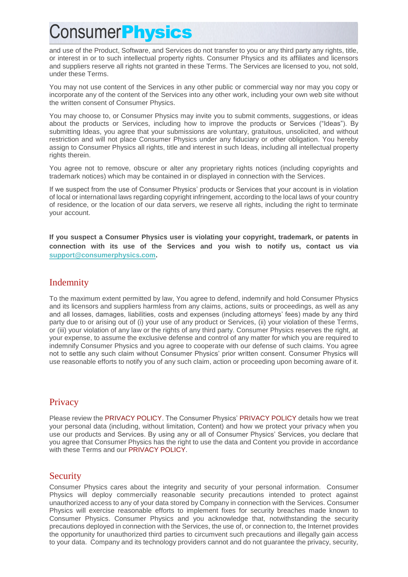and use of the Product, Software, and Services do not transfer to you or any third party any rights, title, or interest in or to such intellectual property rights. Consumer Physics and its affiliates and licensors and suppliers reserve all rights not granted in these Terms. The Services are licensed to you, not sold, under these Terms.

You may not use content of the Services in any other public or commercial way nor may you copy or incorporate any of the content of the Services into any other work, including your own web site without the written consent of Consumer Physics.

You may choose to, or Consumer Physics may invite you to submit comments, suggestions, or ideas about the products or Services, including how to improve the products or Services ("Ideas"). By submitting Ideas, you agree that your submissions are voluntary, gratuitous, unsolicited, and without restriction and will not place Consumer Physics under any fiduciary or other obligation. You hereby assign to Consumer Physics all rights, title and interest in such Ideas, including all intellectual property rights therein.

You agree not to remove, obscure or alter any proprietary rights notices (including copyrights and trademark notices) which may be contained in or displayed in connection with the Services.

If we suspect from the use of Consumer Physics' products or Services that your account is in violation of local or international laws regarding copyright infringement, according to the local laws of your country of residence, or the location of our data servers, we reserve all rights, including the right to terminate your account.

**If you suspect a Consumer Physics user is violating your copyright, trademark, or patents in connection with its use of the Services and you wish to notify us, contact us via [support@consumerphysics.com.](mailto:support@consumerphysics.com)**

### Indemnity

To the maximum extent permitted by law, You agree to defend, indemnify and hold Consumer Physics and its licensors and suppliers harmless from any claims, actions, suits or proceedings, as well as any and all losses, damages, liabilities, costs and expenses (including attorneys' fees) made by any third party due to or arising out of (i) your use of any product or Services, (ii) your violation of these Terms, or (iii) your violation of any law or the rights of any third party. Consumer Physics reserves the right, at your expense, to assume the exclusive defense and control of any matter for which you are required to indemnify Consumer Physics and you agree to cooperate with our defense of such claims. You agree not to settle any such claim without Consumer Physics' prior written consent. Consumer Physics will use reasonable efforts to notify you of any such claim, action or proceeding upon becoming aware of it.

#### **Privacy**

Please review the PRIVACY POLICY. The Consumer Physics' PRIVACY POLICY details how we treat your personal data (including, without limitation, Content) and how we protect your privacy when you use our products and Services. By using any or all of Consumer Physics' Services, you declare that you agree that Consumer Physics has the right to use the data and Content you provide in accordance with these Terms and our PRIVACY POLICY.

#### Security

Consumer Physics cares about the integrity and security of your personal information. Consumer Physics will deploy commercially reasonable security precautions intended to protect against unauthorized access to any of your data stored by Company in connection with the Services. Consumer Physics will exercise reasonable efforts to implement fixes for security breaches made known to Consumer Physics. Consumer Physics and you acknowledge that, notwithstanding the security precautions deployed in connection with the Services, the use of, or connection to, the Internet provides the opportunity for unauthorized third parties to circumvent such precautions and illegally gain access to your data. Company and its technology providers cannot and do not guarantee the privacy, security,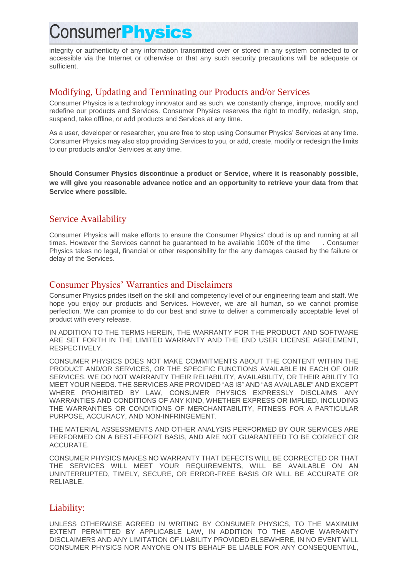integrity or authenticity of any information transmitted over or stored in any system connected to or accessible via the Internet or otherwise or that any such security precautions will be adequate or sufficient.

#### Modifying, Updating and Terminating our Products and/or Services

Consumer Physics is a technology innovator and as such, we constantly change, improve, modify and redefine our products and Services. Consumer Physics reserves the right to modify, redesign, stop, suspend, take offline, or add products and Services at any time.

As a user, developer or researcher, you are free to stop using Consumer Physics' Services at any time. Consumer Physics may also stop providing Services to you, or add, create, modify or redesign the limits to our products and/or Services at any time.

**Should Consumer Physics discontinue a product or Service, where it is reasonably possible, we will give you reasonable advance notice and an opportunity to retrieve your data from that Service where possible.** 

#### Service Availability

Consumer Physics will make efforts to ensure the Consumer Physics' cloud is up and running at all times. However the Services cannot be guaranteed to be available 100% of the time . Consumer Physics takes no legal, financial or other responsibility for the any damages caused by the failure or delay of the Services.

### Consumer Physics' Warranties and Disclaimers

Consumer Physics prides itself on the skill and competency level of our engineering team and staff. We hope you enjoy our products and Services. However, we are all human, so we cannot promise perfection. We can promise to do our best and strive to deliver a commercially acceptable level of product with every release.

IN ADDITION TO THE TERMS HEREIN, THE WARRANTY FOR THE PRODUCT AND SOFTWARE ARE SET FORTH IN THE LIMITED WARRANTY AND THE END USER LICENSE AGREEMENT, RESPECTIVELY.

CONSUMER PHYSICS DOES NOT MAKE COMMITMENTS ABOUT THE CONTENT WITHIN THE PRODUCT AND/OR SERVICES, OR THE SPECIFIC FUNCTIONS AVAILABLE IN EACH OF OUR SERVICES. WE DO NOT WARRANTY THEIR RELIABILITY, AVAILABILITY, OR THEIR ABILITY TO MEET YOUR NEEDS. THE SERVICES ARE PROVIDED "AS IS" AND "AS AVAILABLE" AND EXCEPT WHERE PROHIBITED BY LAW, CONSUMER PHYSICS EXPRESSLY DISCLAIMS ANY WARRANTIES AND CONDITIONS OF ANY KIND, WHETHER EXPRESS OR IMPLIED, INCLUDING THE WARRANTIES OR CONDITIONS OF MERCHANTABILITY, FITNESS FOR A PARTICULAR PURPOSE, ACCURACY, AND NON-INFRINGEMENT.

THE MATERIAL ASSESSMENTS AND OTHER ANALYSIS PERFORMED BY OUR SERVICES ARE PERFORMED ON A BEST-EFFORT BASIS, AND ARE NOT GUARANTEED TO BE CORRECT OR ACCURATE.

CONSUMER PHYSICS MAKES NO WARRANTY THAT DEFECTS WILL BE CORRECTED OR THAT THE SERVICES WILL MEET YOUR REQUIREMENTS, WILL BE AVAILABLE ON AN UNINTERRUPTED, TIMELY, SECURE, OR ERROR-FREE BASIS OR WILL BE ACCURATE OR RELIABLE.

#### Liability:

UNLESS OTHERWISE AGREED IN WRITING BY CONSUMER PHYSICS, TO THE MAXIMUM EXTENT PERMITTED BY APPLICABLE LAW, IN ADDITION TO THE ABOVE WARRANTY DISCLAIMERS AND ANY LIMITATION OF LIABILITY PROVIDED ELSEWHERE, IN NO EVENT WILL CONSUMER PHYSICS NOR ANYONE ON ITS BEHALF BE LIABLE FOR ANY CONSEQUENTIAL,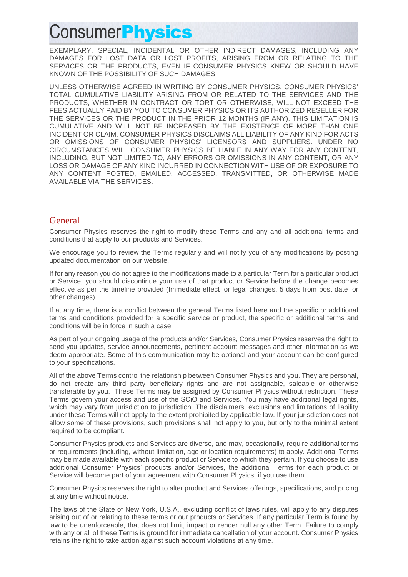EXEMPLARY, SPECIAL, INCIDENTAL OR OTHER INDIRECT DAMAGES, INCLUDING ANY DAMAGES FOR LOST DATA OR LOST PROFITS, ARISING FROM OR RELATING TO THE SERVICES OR THE PRODUCTS, EVEN IF CONSUMER PHYSICS KNEW OR SHOULD HAVE KNOWN OF THE POSSIBILITY OF SUCH DAMAGES.

UNLESS OTHERWISE AGREED IN WRITING BY CONSUMER PHYSICS, CONSUMER PHYSICS' TOTAL CUMULATIVE LIABILITY ARISING FROM OR RELATED TO THE SERVICES AND THE PRODUCTS, WHETHER IN CONTRACT OR TORT OR OTHERWISE, WILL NOT EXCEED THE FEES ACTUALLY PAID BY YOU TO CONSUMER PHYSICS OR ITS AUTHORIZED RESELLER FOR THE SERVICES OR THE PRODUCT IN THE PRIOR 12 MONTHS (IF ANY). THIS LIMITATION IS CUMULATIVE AND WILL NOT BE INCREASED BY THE EXISTENCE OF MORE THAN ONE INCIDENT OR CLAIM. CONSUMER PHYSICS DISCLAIMS ALL LIABILITY OF ANY KIND FOR ACTS OR OMISSIONS OF CONSUMER PHYSICS' LICENSORS AND SUPPLIERS. UNDER NO CIRCUMSTANCES WILL CONSUMER PHYSICS BE LIABLE IN ANY WAY FOR ANY CONTENT, INCLUDING, BUT NOT LIMITED TO, ANY ERRORS OR OMISSIONS IN ANY CONTENT, OR ANY LOSS OR DAMAGE OF ANY KIND INCURRED IN CONNECTION WITH USE OF OR EXPOSURE TO ANY CONTENT POSTED, EMAILED, ACCESSED, TRANSMITTED, OR OTHERWISE MADE AVAILABLE VIA THE SERVICES.

#### **General**

Consumer Physics reserves the right to modify these Terms and any and all additional terms and conditions that apply to our products and Services.

We encourage you to review the Terms regularly and will notify you of any modifications by posting updated documentation on our website.

If for any reason you do not agree to the modifications made to a particular Term for a particular product or Service, you should discontinue your use of that product or Service before the change becomes effective as per the timeline provided (Immediate effect for legal changes, 5 days from post date for other changes).

If at any time, there is a conflict between the general Terms listed here and the specific or additional terms and conditions provided for a specific service or product, the specific or additional terms and conditions will be in force in such a case.

As part of your ongoing usage of the products and/or Services, Consumer Physics reserves the right to send you updates, service announcements, pertinent account messages and other information as we deem appropriate. Some of this communication may be optional and your account can be configured to your specifications.

All of the above Terms control the relationship between Consumer Physics and you. They are personal, do not create any third party beneficiary rights and are not assignable, saleable or otherwise transferable by you. These Terms may be assigned by Consumer Physics without restriction. These Terms govern your access and use of the SCiO and Services. You may have additional legal rights, which may vary from jurisdiction to jurisdiction. The disclaimers, exclusions and limitations of liability under these Terms will not apply to the extent prohibited by applicable law. If your jurisdiction does not allow some of these provisions, such provisions shall not apply to you, but only to the minimal extent required to be compliant.

Consumer Physics products and Services are diverse, and may, occasionally, require additional terms or requirements (including, without limitation, age or location requirements) to apply. Additional Terms may be made available with each specific product or Service to which they pertain. If you choose to use additional Consumer Physics' products and/or Services, the additional Terms for each product or Service will become part of your agreement with Consumer Physics, if you use them.

Consumer Physics reserves the right to alter product and Services offerings, specifications, and pricing at any time without notice.

The laws of the State of New York, U.S.A., excluding conflict of laws rules, will apply to any disputes arising out of or relating to these terms or our products or Services. If any particular Term is found by law to be unenforceable, that does not limit, impact or render null any other Term. Failure to comply with any or all of these Terms is ground for immediate cancellation of your account. Consumer Physics retains the right to take action against such account violations at any time.